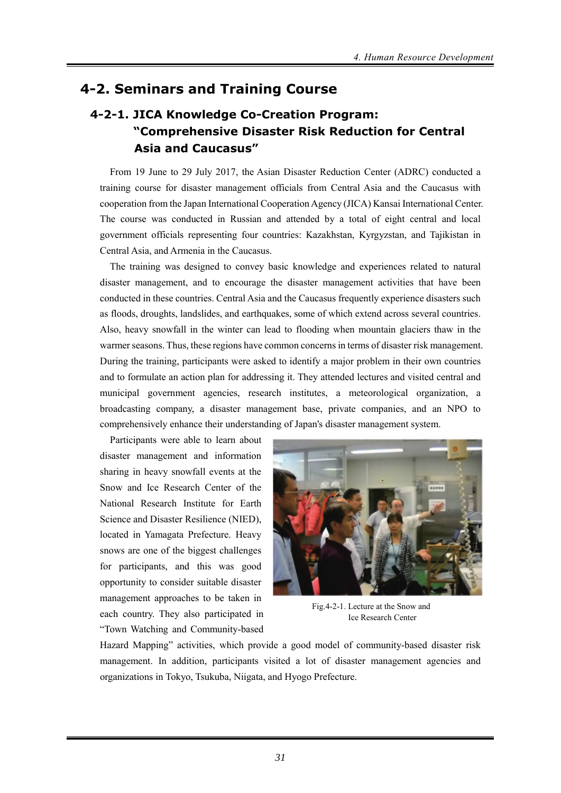## **4-2. Seminars and Training Course**

# **4-2-1. JICA Knowledge Co-Creation Program: "Comprehensive Disaster Risk Reduction for Central Asia and Caucasus"**

From 19 June to 29 July 2017, the Asian Disaster Reduction Center (ADRC) conducted a training course for disaster management officials from Central Asia and the Caucasus with cooperation from the Japan International Cooperation Agency (JICA) Kansai International Center. The course was conducted in Russian and attended by a total of eight central and local government officials representing four countries: Kazakhstan, Kyrgyzstan, and Tajikistan in Central Asia, and Armenia in the Caucasus.

The training was designed to convey basic knowledge and experiences related to natural disaster management, and to encourage the disaster management activities that have been conducted in these countries. Central Asia and the Caucasus frequently experience disasters such as floods, droughts, landslides, and earthquakes, some of which extend across several countries. Also, heavy snowfall in the winter can lead to flooding when mountain glaciers thaw in the warmer seasons. Thus, these regions have common concerns in terms of disaster risk management. During the training, participants were asked to identify a major problem in their own countries and to formulate an action plan for addressing it. They attended lectures and visited central and municipal government agencies, research institutes, a meteorological organization, a broadcasting company, a disaster management base, private companies, and an NPO to comprehensively enhance their understanding of Japan's disaster management system.

Participants were able to learn about disaster management and information sharing in heavy snowfall events at the Snow and Ice Research Center of the National Research Institute for Earth Science and Disaster Resilience (NIED), located in Yamagata Prefecture. Heavy snows are one of the biggest challenges for participants, and this was good opportunity to consider suitable disaster management approaches to be taken in each country. They also participated in "Town Watching and Community-based



Fig.4-2-1. Lecture at the Snow and Ice Research Center

Hazard Mapping" activities, which provide a good model of community-based disaster risk management. In addition, participants visited a lot of disaster management agencies and organizations in Tokyo, Tsukuba, Niigata, and Hyogo Prefecture.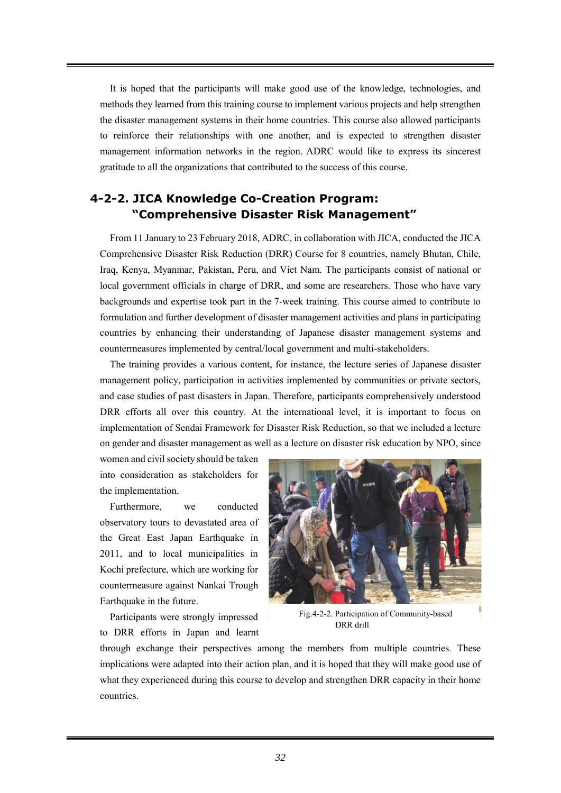It is hoped that the participants will make good use of the knowledge, technologies, and methods they learned from this training course to implement various projects and help strengthen the disaster management systems in their home countries. This course also allowed participants to reinforce their relationships with one another, and is expected to strengthen disaster management information networks in the region. ADRC would like to express its sincerest gratitude to all the organizations that contributed to the success of this course.

### **4-2-2. JICA Knowledge Co-Creation Program: "Comprehensive Disaster Risk Management"**

From 11 January to 23 February 2018, ADRC, in collaboration with JICA, conducted the JICA Comprehensive Disaster Risk Reduction (DRR) Course for 8 countries, namely Bhutan, Chile, Iraq, Kenya, Myanmar, Pakistan, Peru, and Viet Nam. The participants consist of national or local government officials in charge of DRR, and some are researchers. Those who have vary backgrounds and expertise took part in the 7-week training. This course aimed to contribute to formulation and further development of disaster management activities and plans in participating countries by enhancing their understanding of Japanese disaster management systems and countermeasures implemented by central/local government and multi-stakeholders.

The training provides a various content, for instance, the lecture series of Japanese disaster management policy, participation in activities implemented by communities or private sectors, and case studies of past disasters in Japan. Therefore, participants comprehensively understood DRR efforts all over this country. At the international level, it is important to focus on implementation of Sendai Framework for Disaster Risk Reduction, so that we included a lecture on gender and disaster management as well as a lecture on disaster risk education by NPO, since

women and civil society should be taken into consideration as stakeholders for the implementation.

Furthermore, we conducted observatory tours to devastated area of the Great East Japan Earthquake in 2011, and to local municipalities in Kochi prefecture, which are working for countermeasure against Nankai Trough Earthquake in the future.

Participants were strongly impressed to DRR efforts in Japan and learnt



Fig.4-2-2. Participation of Community-based DRR drill

through exchange their perspectives among the members from multiple countries. These implications were adapted into their action plan, and it is hoped that they will make good use of what they experienced during this course to develop and strengthen DRR capacity in their home countries.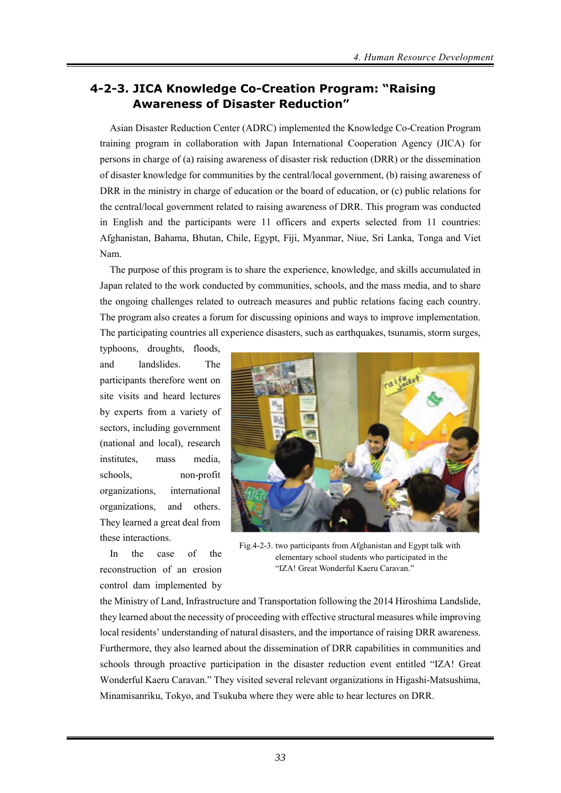#### **4-2-3. JICA Knowledge Co-Creation Program: "Raising Awareness of Disaster Reduction"**

Asian Disaster Reduction Center (ADRC) implemented the Knowledge Co-Creation Program training program in collaboration with Japan International Cooperation Agency (JICA) for persons in charge of (a) raising awareness of disaster risk reduction (DRR) or the dissemination of disaster knowledge for communities by the central/local government, (b) raising awareness of DRR in the ministry in charge of education or the board of education, or (c) public relations for the central/local government related to raising awareness of DRR. This program was conducted in English and the participants were 11 officers and experts selected from 11 countries: Afghanistan, Bahama, Bhutan, Chile, Egypt, Fiji, Myanmar, Niue, Sri Lanka, Tonga and Viet Nam.

The purpose of this program is to share the experience, knowledge, and skills accumulated in Japan related to the work conducted by communities, schools, and the mass media, and to share the ongoing challenges related to outreach measures and public relations facing each country. The program also creates a forum for discussing opinions and ways to improve implementation. The participating countries all experience disasters, such as earthquakes, tsunamis, storm surges,

typhoons, droughts, floods, and landslides. The participants therefore went on site visits and heard lectures by experts from a variety of sectors, including government (national and local), research institutes, mass media, schools, non-profit organizations, international organizations, and others. They learned a great deal from these interactions.

In the case of the reconstruction of an erosion control dam implemented by



Fig.4-2-3. two participants from Afghanistan and Egypt talk with elementary school students who participated in the "IZA! Great Wonderful Kaeru Caravan."

the Ministry of Land, Infrastructure and Transportation following the 2014 Hiroshima Landslide, they learned about the necessity of proceeding with effective structural measures while improving local residents' understanding of natural disasters, and the importance of raising DRR awareness. Furthermore, they also learned about the dissemination of DRR capabilities in communities and schools through proactive participation in the disaster reduction event entitled "IZA! Great Wonderful Kaeru Caravan." They visited several relevant organizations in Higashi-Matsushima, Minamisanriku, Tokyo, and Tsukuba where they were able to hear lectures on DRR.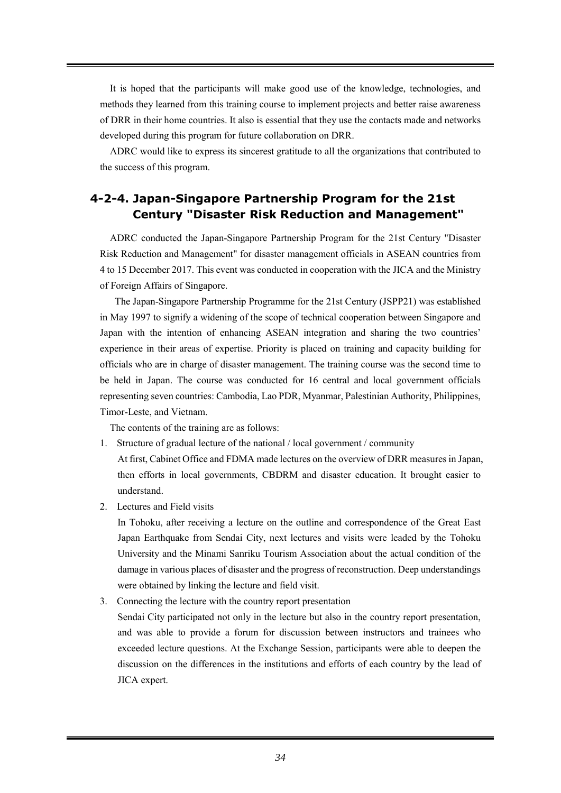It is hoped that the participants will make good use of the knowledge, technologies, and methods they learned from this training course to implement projects and better raise awareness of DRR in their home countries. It also is essential that they use the contacts made and networks developed during this program for future collaboration on DRR.

ADRC would like to express its sincerest gratitude to all the organizations that contributed to the success of this program.

### **4-2-4. Japan-Singapore Partnership Program for the 21st Century "Disaster Risk Reduction and Management"**

ADRC conducted the Japan-Singapore Partnership Program for the 21st Century "Disaster Risk Reduction and Management" for disaster management officials in ASEAN countries from 4 to 15 December 2017. This event was conducted in cooperation with the JICA and the Ministry of Foreign Affairs of Singapore.

The Japan-Singapore Partnership Programme for the 21st Century (JSPP21) was established in May 1997 to signify a widening of the scope of technical cooperation between Singapore and Japan with the intention of enhancing ASEAN integration and sharing the two countries' experience in their areas of expertise. Priority is placed on training and capacity building for officials who are in charge of disaster management. The training course was the second time to be held in Japan. The course was conducted for 16 central and local government officials representing seven countries: Cambodia, Lao PDR, Myanmar, Palestinian Authority, Philippines, Timor-Leste, and Vietnam.

The contents of the training are as follows:

1. Structure of gradual lecture of the national / local government / community

At first, Cabinet Office and FDMA made lectures on the overview of DRR measures in Japan, then efforts in local governments, CBDRM and disaster education. It brought easier to understand.

2. Lectures and Field visits

In Tohoku, after receiving a lecture on the outline and correspondence of the Great East Japan Earthquake from Sendai City, next lectures and visits were leaded by the Tohoku University and the Minami Sanriku Tourism Association about the actual condition of the damage in various places of disaster and the progress of reconstruction. Deep understandings were obtained by linking the lecture and field visit.

3. Connecting the lecture with the country report presentation

Sendai City participated not only in the lecture but also in the country report presentation, and was able to provide a forum for discussion between instructors and trainees who exceeded lecture questions. At the Exchange Session, participants were able to deepen the discussion on the differences in the institutions and efforts of each country by the lead of JICA expert.